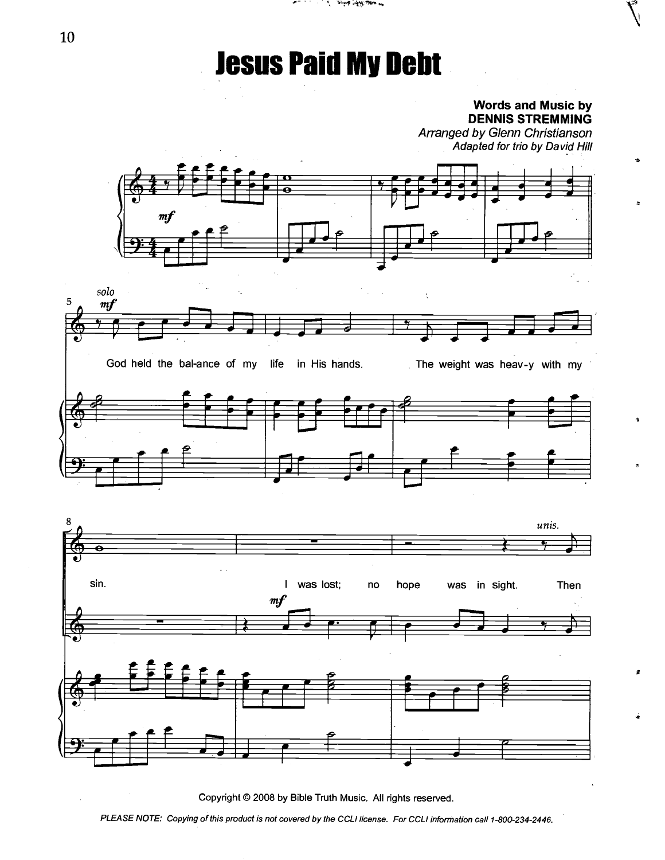## **Jesus Paid My Debt**

Words and Music by<br>
DENNIS STREMMING<br>
by Glenn Christianson<br>
pted for trio by David Hill<br>  $\begin{bmatrix} 1 & 1 & 1 \\ 1 & 1 & 1 \end{bmatrix}$ 

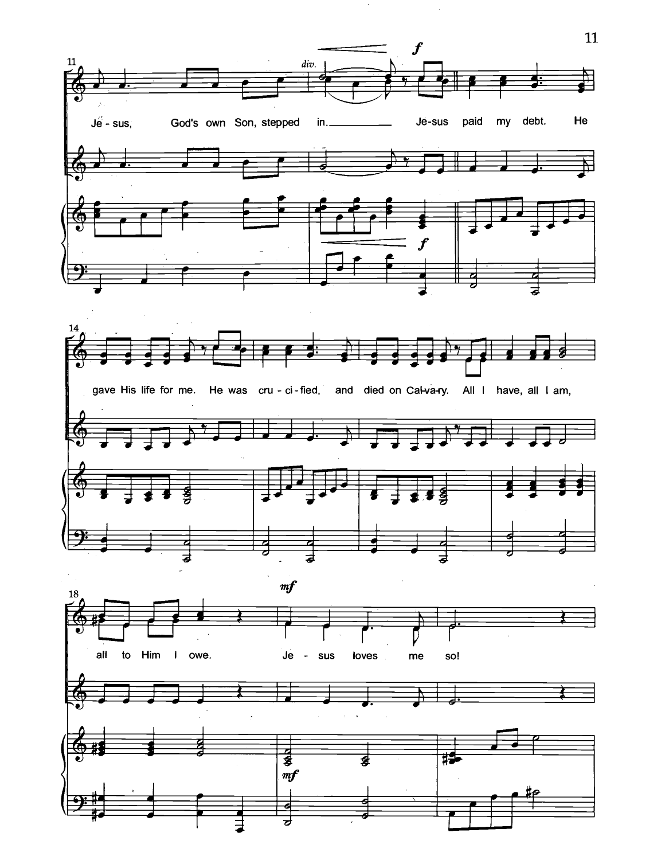